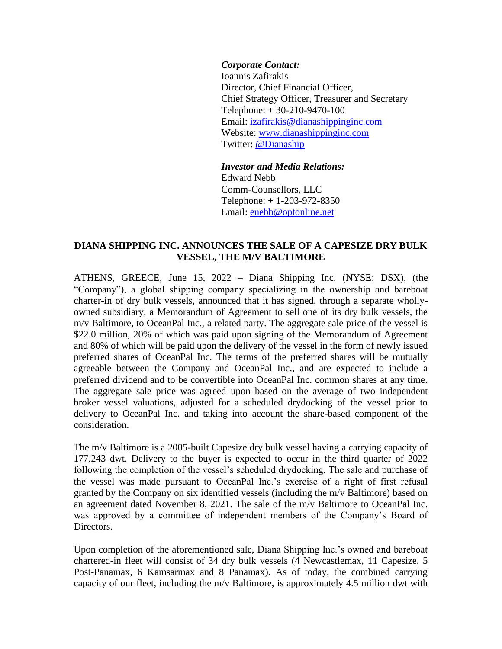## *Corporate Contact:*

Ioannis Zafirakis Director, Chief Financial Officer, Chief Strategy Officer, Treasurer and Secretary Telephone: + 30-210-9470-100 Email: izafirakis@dianashippinginc.com Website: [www.dianashippinginc.com](http://www.dianashippinginc.com/) Twitter: [@Dianaship](https://twitter.com/Dianaship)

*Investor and Media Relations:* Edward Nebb Comm-Counsellors, LLC Telephone: + 1-203-972-8350 Email: enebb@optonline.net

## **DIANA SHIPPING INC. ANNOUNCES THE SALE OF A CAPESIZE DRY BULK VESSEL, THE M/V BALTIMORE**

ATHENS, GREECE, June 15, 2022 – Diana Shipping Inc. (NYSE: DSX), (the "Company"), a global shipping company specializing in the ownership and bareboat charter-in of dry bulk vessels, announced that it has signed, through a separate whollyowned subsidiary, a Memorandum of Agreement to sell one of its dry bulk vessels, the m/v Baltimore, to OceanPal Inc., a related party. The aggregate sale price of the vessel is \$22.0 million, 20% of which was paid upon signing of the Memorandum of Agreement and 80% of which will be paid upon the delivery of the vessel in the form of newly issued preferred shares of OceanPal Inc. The terms of the preferred shares will be mutually agreeable between the Company and OceanPal Inc., and are expected to include a preferred dividend and to be convertible into OceanPal Inc. common shares at any time. The aggregate sale price was agreed upon based on the average of two independent broker vessel valuations, adjusted for a scheduled drydocking of the vessel prior to delivery to OceanPal Inc. and taking into account the share-based component of the consideration.

The m/v Baltimore is a 2005-built Capesize dry bulk vessel having a carrying capacity of 177,243 dwt. Delivery to the buyer is expected to occur in the third quarter of 2022 following the completion of the vessel's scheduled drydocking. The sale and purchase of the vessel was made pursuant to OceanPal Inc.'s exercise of a right of first refusal granted by the Company on six identified vessels (including the m/v Baltimore) based on an agreement dated November 8, 2021. The sale of the m/v Baltimore to OceanPal Inc. was approved by a committee of independent members of the Company's Board of Directors.

Upon completion of the aforementioned sale, Diana Shipping Inc.'s owned and bareboat chartered-in fleet will consist of 34 dry bulk vessels (4 Newcastlemax, 11 Capesize, 5 Post-Panamax, 6 Kamsarmax and 8 Panamax). As of today, the combined carrying capacity of our fleet, including the m/v Baltimore, is approximately 4.5 million dwt with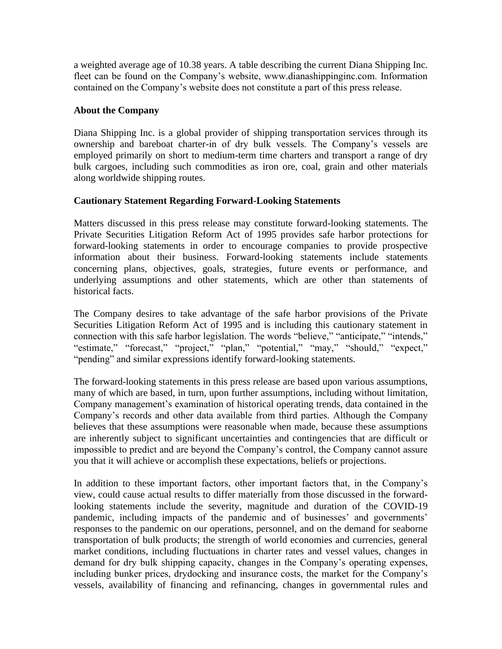a weighted average age of 10.38 years. A table describing the current Diana Shipping Inc. fleet can be found on the Company's website, www.dianashippinginc.com. Information contained on the Company's website does not constitute a part of this press release.

## **About the Company**

Diana Shipping Inc. is a global provider of shipping transportation services through its ownership and bareboat charter-in of dry bulk vessels. The Company's vessels are employed primarily on short to medium-term time charters and transport a range of dry bulk cargoes, including such commodities as iron ore, coal, grain and other materials along worldwide shipping routes.

## **Cautionary Statement Regarding Forward-Looking Statements**

Matters discussed in this press release may constitute forward-looking statements. The Private Securities Litigation Reform Act of 1995 provides safe harbor protections for forward-looking statements in order to encourage companies to provide prospective information about their business. Forward-looking statements include statements concerning plans, objectives, goals, strategies, future events or performance, and underlying assumptions and other statements, which are other than statements of historical facts.

The Company desires to take advantage of the safe harbor provisions of the Private Securities Litigation Reform Act of 1995 and is including this cautionary statement in connection with this safe harbor legislation. The words "believe," "anticipate," "intends," "estimate," "forecast," "project," "plan," "potential," "may," "should," "expect," "pending" and similar expressions identify forward-looking statements.

The forward-looking statements in this press release are based upon various assumptions, many of which are based, in turn, upon further assumptions, including without limitation, Company management's examination of historical operating trends, data contained in the Company's records and other data available from third parties. Although the Company believes that these assumptions were reasonable when made, because these assumptions are inherently subject to significant uncertainties and contingencies that are difficult or impossible to predict and are beyond the Company's control, the Company cannot assure you that it will achieve or accomplish these expectations, beliefs or projections.

In addition to these important factors, other important factors that, in the Company's view, could cause actual results to differ materially from those discussed in the forwardlooking statements include the severity, magnitude and duration of the COVID-19 pandemic, including impacts of the pandemic and of businesses' and governments' responses to the pandemic on our operations, personnel, and on the demand for seaborne transportation of bulk products; the strength of world economies and currencies, general market conditions, including fluctuations in charter rates and vessel values, changes in demand for dry bulk shipping capacity, changes in the Company's operating expenses, including bunker prices, drydocking and insurance costs, the market for the Company's vessels, availability of financing and refinancing, changes in governmental rules and